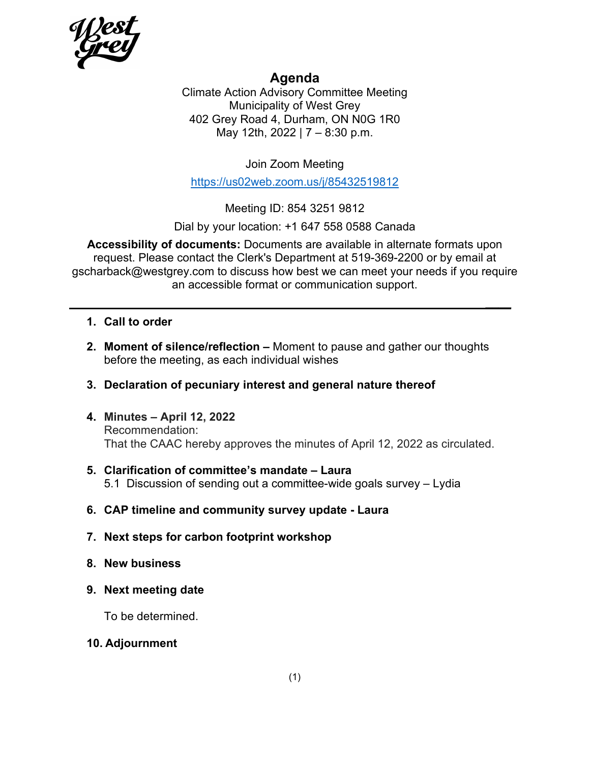

## **Agenda**

Climate Action Advisory Committee Meeting Municipality of West Grey 402 Grey Road 4, Durham, ON N0G 1R0 May 12th, 2022 | 7 – 8:30 p.m.

Join Zoom Meeting

<https://us02web.zoom.us/j/85432519812>

Meeting ID: 854 3251 9812

Dial by your location: +1 647 558 0588 Canada

**Accessibility of documents:** Documents are available in alternate formats upon request. Please contact the Clerk's Department at 519-369-2200 or by email at gscharback@westgrey.com to discuss how best we can meet your needs if you require an accessible format or communication support.

**\_\_\_\_**

#### **1. Call to order**

**2. Moment of silence/reflection –** Moment to pause and gather our thoughts before the meeting, as each individual wishes

#### **3. Declaration of pecuniary interest and general nature thereof**

**4. Minutes – April 12, 2022** Recommendation: That the CAAC hereby approves the minutes of April 12, 2022 as circulated.

#### **5. Clarification of committee's mandate – Laura** 5.1 Discussion of sending out a committee-wide goals survey – Lydia

- **6. CAP timeline and community survey update Laura**
- **7. Next steps for carbon footprint workshop**
- **8. New business**
- **9. Next meeting date**

To be determined.

#### **10. Adjournment**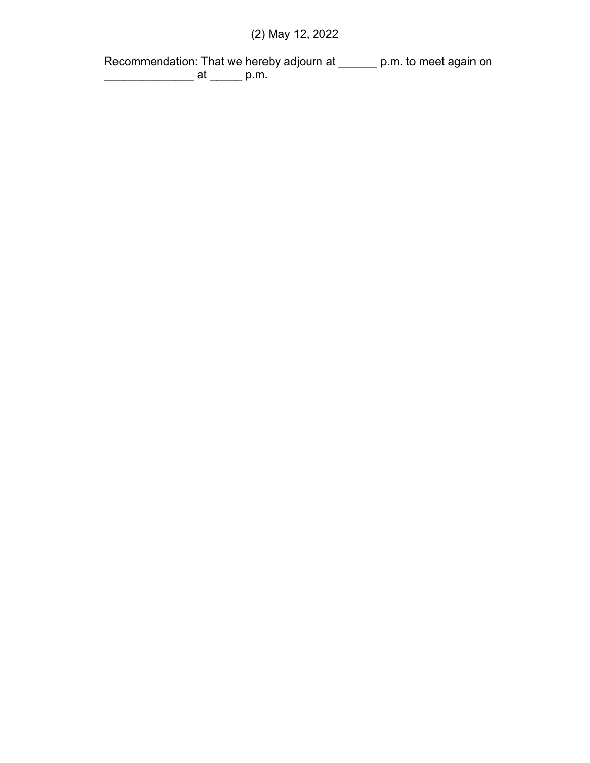# (2) May 12, 2022

Recommendation: That we hereby adjourn at \_\_\_\_\_\_ p.m. to meet again on \_\_\_\_\_\_\_\_\_\_\_\_\_\_ at \_\_\_\_\_ p.m.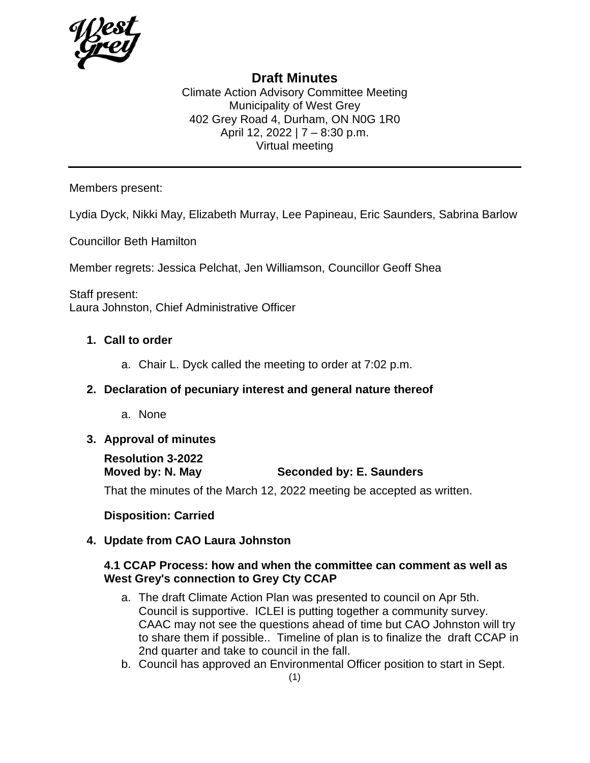

### **Draft Minutes**

Climate Action Advisory Committee Meeting Municipality of West Grey 402 Grey Road 4, Durham, ON N0G 1R0 April 12, 2022 | 7 – 8:30 p.m. Virtual meeting

Members present:

Lydia Dyck, Nikki May, Elizabeth Murray, Lee Papineau, Eric Saunders, Sabrina Barlow

Councillor Beth Hamilton

Member regrets: Jessica Pelchat, Jen Williamson, Councillor Geoff Shea

Staff present: Laura Johnston, Chief Administrative Officer

#### **1. Call to order**

a. Chair L. Dyck called the meeting to order at 7:02 p.m.

#### **2. Declaration of pecuniary interest and general nature thereof**

a. None

#### **3. Approval of minutes**

# **Resolution 3-2022**

**Seconded by: E. Saunders** 

That the minutes of the March 12, 2022 meeting be accepted as written.

#### **Disposition: Carried**

#### **4. Update from CAO Laura Johnston**

#### **4.1 CCAP Process: how and when the committee can comment as well as West Grey's connection to Grey Cty CCAP**

- a. The draft Climate Action Plan was presented to council on Apr 5th. Council is supportive. ICLEI is putting together a community survey. CAAC may not see the questions ahead of time but CAO Johnston will try to share them if possible.. Timeline of plan is to finalize the draft CCAP in 2nd quarter and take to council in the fall.
- b. Council has approved an Environmental Officer position to start in Sept.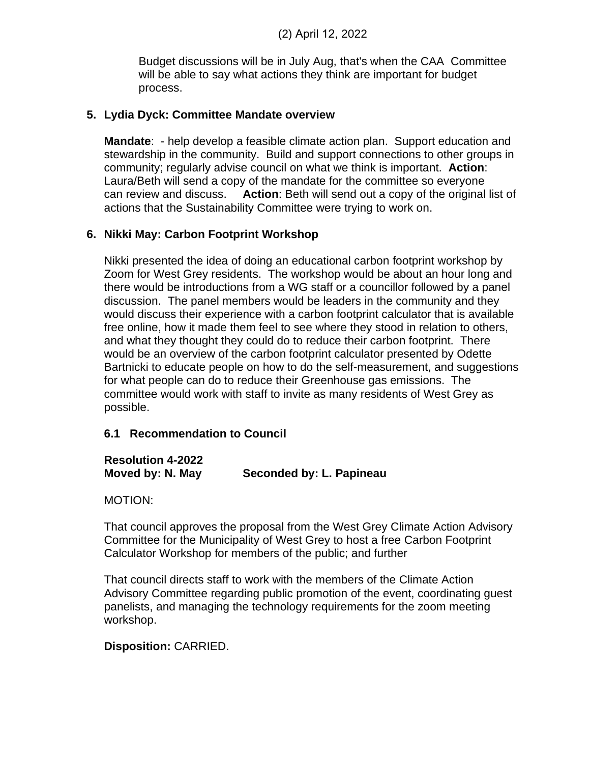Budget discussions will be in July Aug, that's when the CAA Committee will be able to say what actions they think are important for budget process.

#### **5. Lydia Dyck: Committee Mandate overview**

**Mandate**: - help develop a feasible climate action plan. Support education and stewardship in the community. Build and support connections to other groups in community; regularly advise council on what we think is important. **Action**: Laura/Beth will send a copy of the mandate for the committee so everyone can review and discuss. **Action**: Beth will send out a copy of the original list of actions that the Sustainability Committee were trying to work on.

#### **6. Nikki May: Carbon Footprint Workshop**

Nikki presented the idea of doing an educational carbon footprint workshop by Zoom for West Grey residents. The workshop would be about an hour long and there would be introductions from a WG staff or a councillor followed by a panel discussion. The panel members would be leaders in the community and they would discuss their experience with a carbon footprint calculator that is available free online, how it made them feel to see where they stood in relation to others, and what they thought they could do to reduce their carbon footprint. There would be an overview of the carbon footprint calculator presented by Odette Bartnicki to educate people on how to do the self-measurement, and suggestions for what people can do to reduce their Greenhouse gas emissions. The committee would work with staff to invite as many residents of West Grey as possible.

#### **6.1 Recommendation to Council**

#### **Resolution 4-2022 Moved by: N. May Seconded by: L. Papineau**

MOTION:

That council approves the proposal from the West Grey Climate Action Advisory Committee for the Municipality of West Grey to host a free Carbon Footprint Calculator Workshop for members of the public; and further

That council directs staff to work with the members of the Climate Action Advisory Committee regarding public promotion of the event, coordinating guest panelists, and managing the technology requirements for the zoom meeting workshop.

#### **Disposition:** CARRIED.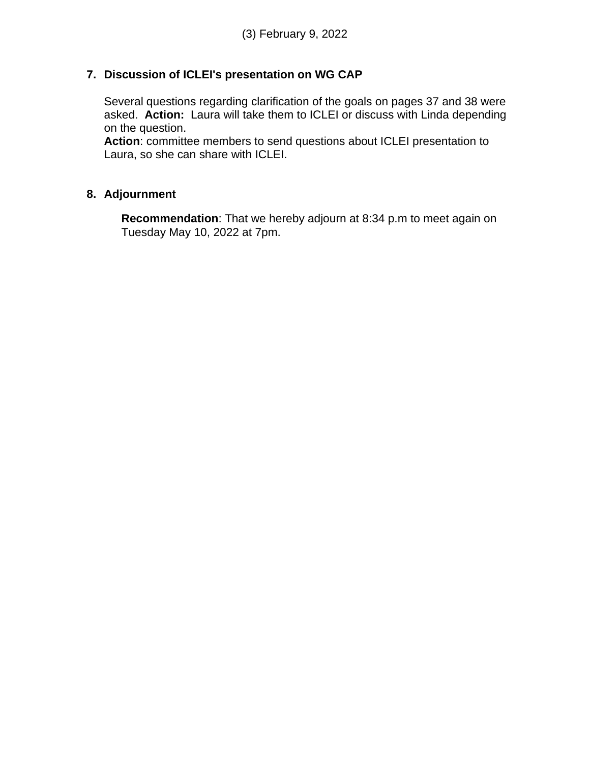#### **7. Discussion of ICLEI's presentation on WG CAP**

Several questions regarding clarification of the goals on pages 37 and 38 were asked. **Action:** Laura will take them to ICLEI or discuss with Linda depending on the question.

**Action**: committee members to send questions about ICLEI presentation to Laura, so she can share with ICLEI.

#### **8. Adjournment**

**Recommendation**: That we hereby adjourn at 8:34 p.m to meet again on Tuesday May 10, 2022 at 7pm.